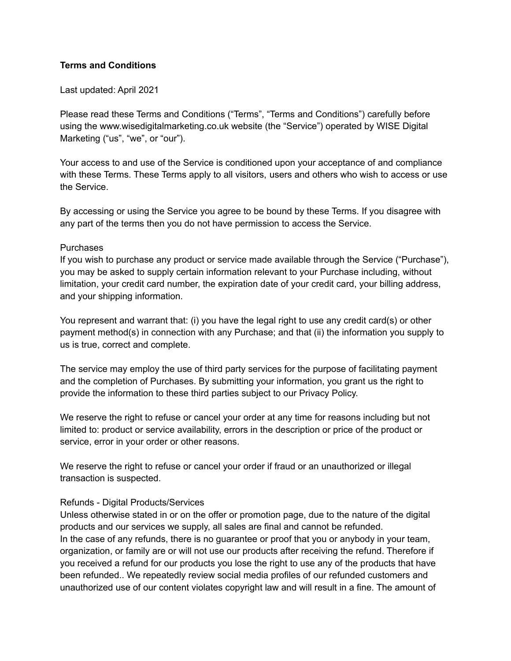# **Terms and Conditions**

### Last updated: April 2021

Please read these Terms and Conditions ("Terms", "Terms and Conditions") carefully before using the www.wisedigitalmarketing.co.uk website (the "Service") operated by WISE Digital Marketing ("us", "we", or "our").

Your access to and use of the Service is conditioned upon your acceptance of and compliance with these Terms. These Terms apply to all visitors, users and others who wish to access or use the Service.

By accessing or using the Service you agree to be bound by these Terms. If you disagree with any part of the terms then you do not have permission to access the Service.

### Purchases

If you wish to purchase any product or service made available through the Service ("Purchase"), you may be asked to supply certain information relevant to your Purchase including, without limitation, your credit card number, the expiration date of your credit card, your billing address, and your shipping information.

You represent and warrant that: (i) you have the legal right to use any credit card(s) or other payment method(s) in connection with any Purchase; and that (ii) the information you supply to us is true, correct and complete.

The service may employ the use of third party services for the purpose of facilitating payment and the completion of Purchases. By submitting your information, you grant us the right to provide the information to these third parties subject to our Privacy Policy.

We reserve the right to refuse or cancel your order at any time for reasons including but not limited to: product or service availability, errors in the description or price of the product or service, error in your order or other reasons.

We reserve the right to refuse or cancel your order if fraud or an unauthorized or illegal transaction is suspected.

# Refunds - Digital Products/Services

Unless otherwise stated in or on the offer or promotion page, due to the nature of the digital products and our services we supply, all sales are final and cannot be refunded. In the case of any refunds, there is no guarantee or proof that you or anybody in your team, organization, or family are or will not use our products after receiving the refund. Therefore if you received a refund for our products you lose the right to use any of the products that have been refunded.. We repeatedly review social media profiles of our refunded customers and unauthorized use of our content violates copyright law and will result in a fine. The amount of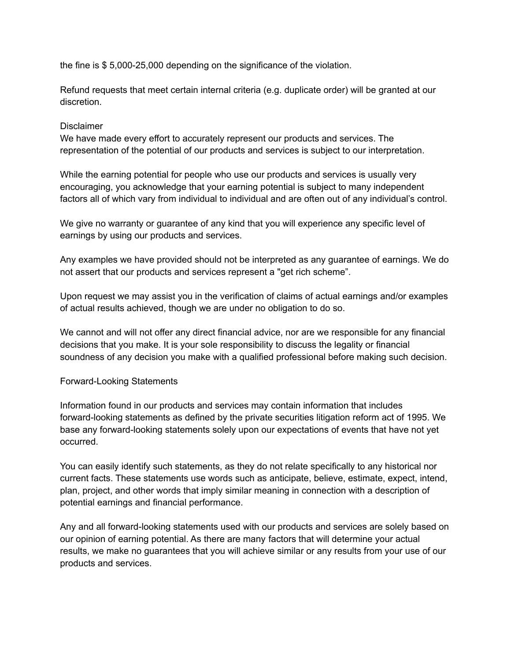the fine is \$ 5,000-25,000 depending on the significance of the violation.

Refund requests that meet certain internal criteria (e.g. duplicate order) will be granted at our discretion.

### Disclaimer

We have made every effort to accurately represent our products and services. The representation of the potential of our products and services is subject to our interpretation.

While the earning potential for people who use our products and services is usually very encouraging, you acknowledge that your earning potential is subject to many independent factors all of which vary from individual to individual and are often out of any individual's control.

We give no warranty or guarantee of any kind that you will experience any specific level of earnings by using our products and services.

Any examples we have provided should not be interpreted as any guarantee of earnings. We do not assert that our products and services represent a "get rich scheme".

Upon request we may assist you in the verification of claims of actual earnings and/or examples of actual results achieved, though we are under no obligation to do so.

We cannot and will not offer any direct financial advice, nor are we responsible for any financial decisions that you make. It is your sole responsibility to discuss the legality or financial soundness of any decision you make with a qualified professional before making such decision.

# Forward-Looking Statements

Information found in our products and services may contain information that includes forward-looking statements as defined by the private securities litigation reform act of 1995. We base any forward-looking statements solely upon our expectations of events that have not yet occurred.

You can easily identify such statements, as they do not relate specifically to any historical nor current facts. These statements use words such as anticipate, believe, estimate, expect, intend, plan, project, and other words that imply similar meaning in connection with a description of potential earnings and financial performance.

Any and all forward-looking statements used with our products and services are solely based on our opinion of earning potential. As there are many factors that will determine your actual results, we make no guarantees that you will achieve similar or any results from your use of our products and services.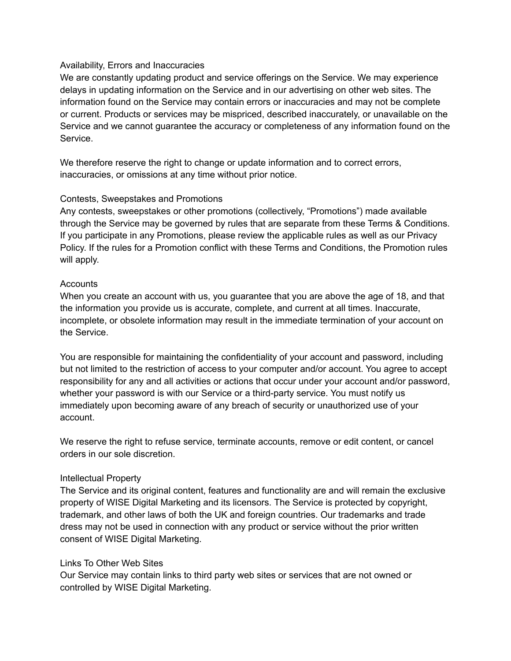## Availability, Errors and Inaccuracies

We are constantly updating product and service offerings on the Service. We may experience delays in updating information on the Service and in our advertising on other web sites. The information found on the Service may contain errors or inaccuracies and may not be complete or current. Products or services may be mispriced, described inaccurately, or unavailable on the Service and we cannot guarantee the accuracy or completeness of any information found on the Service.

We therefore reserve the right to change or update information and to correct errors, inaccuracies, or omissions at any time without prior notice.

### Contests, Sweepstakes and Promotions

Any contests, sweepstakes or other promotions (collectively, "Promotions") made available through the Service may be governed by rules that are separate from these Terms & Conditions. If you participate in any Promotions, please review the applicable rules as well as our Privacy Policy. If the rules for a Promotion conflict with these Terms and Conditions, the Promotion rules will apply.

### **Accounts**

When you create an account with us, you guarantee that you are above the age of 18, and that the information you provide us is accurate, complete, and current at all times. Inaccurate, incomplete, or obsolete information may result in the immediate termination of your account on the Service.

You are responsible for maintaining the confidentiality of your account and password, including but not limited to the restriction of access to your computer and/or account. You agree to accept responsibility for any and all activities or actions that occur under your account and/or password, whether your password is with our Service or a third-party service. You must notify us immediately upon becoming aware of any breach of security or unauthorized use of your account.

We reserve the right to refuse service, terminate accounts, remove or edit content, or cancel orders in our sole discretion.

# Intellectual Property

The Service and its original content, features and functionality are and will remain the exclusive property of WISE Digital Marketing and its licensors. The Service is protected by copyright, trademark, and other laws of both the UK and foreign countries. Our trademarks and trade dress may not be used in connection with any product or service without the prior written consent of WISE Digital Marketing.

# Links To Other Web Sites

Our Service may contain links to third party web sites or services that are not owned or controlled by WISE Digital Marketing.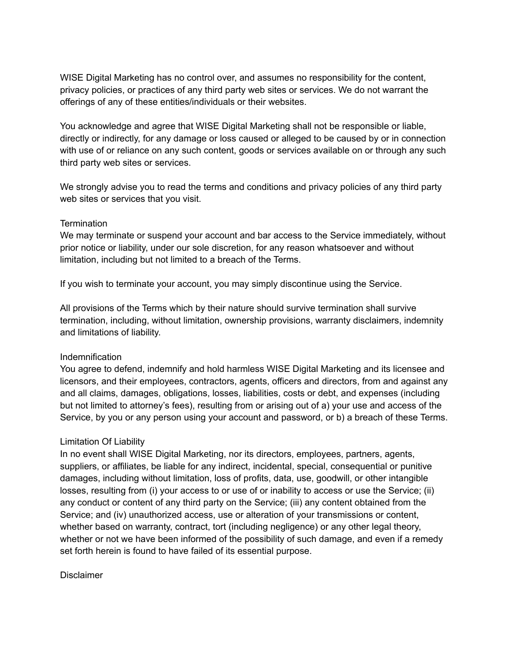WISE Digital Marketing has no control over, and assumes no responsibility for the content, privacy policies, or practices of any third party web sites or services. We do not warrant the offerings of any of these entities/individuals or their websites.

You acknowledge and agree that WISE Digital Marketing shall not be responsible or liable, directly or indirectly, for any damage or loss caused or alleged to be caused by or in connection with use of or reliance on any such content, goods or services available on or through any such third party web sites or services.

We strongly advise you to read the terms and conditions and privacy policies of any third party web sites or services that you visit.

### **Termination**

We may terminate or suspend your account and bar access to the Service immediately, without prior notice or liability, under our sole discretion, for any reason whatsoever and without limitation, including but not limited to a breach of the Terms.

If you wish to terminate your account, you may simply discontinue using the Service.

All provisions of the Terms which by their nature should survive termination shall survive termination, including, without limitation, ownership provisions, warranty disclaimers, indemnity and limitations of liability.

# Indemnification

You agree to defend, indemnify and hold harmless WISE Digital Marketing and its licensee and licensors, and their employees, contractors, agents, officers and directors, from and against any and all claims, damages, obligations, losses, liabilities, costs or debt, and expenses (including but not limited to attorney's fees), resulting from or arising out of a) your use and access of the Service, by you or any person using your account and password, or b) a breach of these Terms.

#### Limitation Of Liability

In no event shall WISE Digital Marketing, nor its directors, employees, partners, agents, suppliers, or affiliates, be liable for any indirect, incidental, special, consequential or punitive damages, including without limitation, loss of profits, data, use, goodwill, or other intangible losses, resulting from (i) your access to or use of or inability to access or use the Service; (ii) any conduct or content of any third party on the Service; (iii) any content obtained from the Service; and (iv) unauthorized access, use or alteration of your transmissions or content, whether based on warranty, contract, tort (including negligence) or any other legal theory, whether or not we have been informed of the possibility of such damage, and even if a remedy set forth herein is found to have failed of its essential purpose.

### Disclaimer